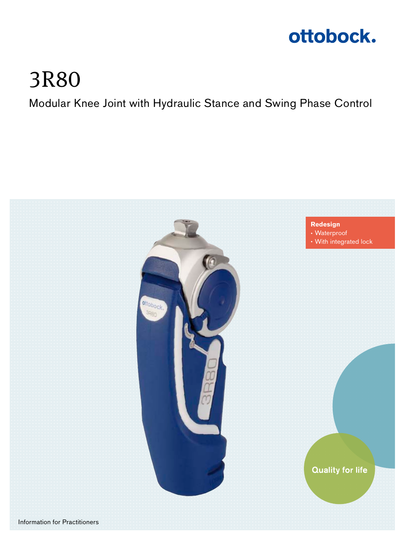

# 3R80

Modular Knee Joint with Hydraulic Stance and Swing Phase Control

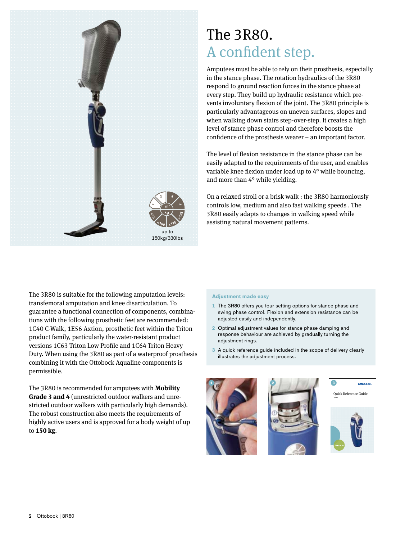

### The 3R80. A confident step.

Amputees must be able to rely on their prosthesis, especially in the stance phase. The rotation hydraulics of the 3R80 respond to ground reaction forces in the stance phase at every step. They build up hydraulic resistance which prevents involuntary flexion of the joint. The 3R80 principle is particularly advantageous on uneven surfaces, slopes and when walking down stairs step-over-step. It creates a high level of stance phase control and therefore boosts the confidence of the prosthesis wearer – an important factor.

The level of flexion resistance in the stance phase can be easily adapted to the requirements of the user, and enables variable knee flexion under load up to 4° while bouncing, and more than 4° while yielding.

On a relaxed stroll or a brisk walk : the 3R80 harmoniously controls low, medium and also fast walking speeds . The 3R80 easily adapts to changes in walking speed while assisting natural movement patterns.

The 3R80 is suitable for the following amputation levels: transfemoral amputation and knee disarticulation. To guarantee a functional connection of components, combinations with the following prosthetic feet are recommended: 1C40 C-Walk, 1E56 Axtion, prosthetic feet within the Triton product family, particularly the water-resistant product versions 1C63 Triton Low Profile and 1C64 Triton Heavy Duty. When using the 3R80 as part of a waterproof prosthesis combining it with the Ottobock Aqualine components is permissible.

The 3R80 is recommended for amputees with **Mobility Grade 3 and 4** (unrestricted outdoor walkers and unrestricted outdoor walkers with particularly high demands). The robust construction also meets the requirements of highly active users and is approved for a body weight of up to **150 kg**.

#### **Adjustment made easy**

- **1** The 3R80 offers you four setting options for stance phase and swing phase control. Flexion and extension resistance can be adjusted easily and independently.
- **2** Optimal adjustment values for stance phase damping and response behaviour are achieved by gradually turning the adjustment rings.
- **3** A quick reference guide included in the scope of delivery clearly illustrates the adjustment process.





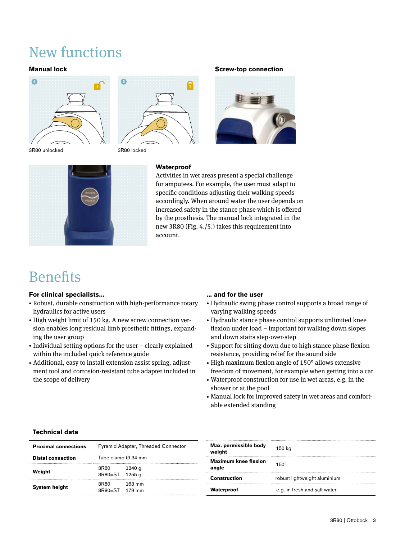## New functions



3R80 unlocked 3R80 locked



#### **Manual lock Screw-top connection**





#### **Waterproof**

Activities in wet areas present a special challenge for amputees. For example, the user must adapt to specific conditions adjusting their walking speeds accordingly. When around water the user depends on increased safety in the stance phase which is offered by the prosthesis. The manual lock integrated in the new 3R80 (Fig. 4./5.) takes this requirement into account.

### **Benefits**

#### **For clinical specialists...**

- Robust, durable construction with high-performance rotary hydraulics for active users
- High weight limit of 150 kg. A new screw connection version enables long residual limb prosthetic fittings, expanding the user group
- Individual setting options for the user clearly explained within the included quick reference guide
- Additional, easy to install extension assist spring, adjustment tool and corrosion-resistant tube adapter included in the scope of delivery

#### **... and for the user**

- Hydraulic swing phase control supports a broad range of varying walking speeds
- Hydraulic stance phase control supports unlimited knee flexion under load – important for walking down slopes and down stairs step-over-step
- Support for sitting down due to high stance phase flexion resistance, providing relief for the sound side
- High maximum flexion angle of 150° allows extensive freedom of movement, for example when getting into a car
- Waterproof construction for use in wet areas, e.g. in the shower or at the pool
- Manual lock for improved safety in wet areas and comfortable extended standing

### **Technical data**

| <b>Proximal connections</b> | <b>Pyramid Adapter, Threaded Connector</b> |        |
|-----------------------------|--------------------------------------------|--------|
| <b>Distal connection</b>    | Tube clamp $\varnothing$ 34 mm             |        |
| Weiaht                      | 3R80<br>3R80=ST 1255 g                     | 1240 g |
| <b>System height</b>        | 3R80<br>3R80=ST 179 mm                     | 163 mm |

| Max. permissible body<br>weight      | 150 kg                       |  |
|--------------------------------------|------------------------------|--|
| <b>Maximum knee flexion</b><br>angle | $150^\circ$                  |  |
| <b>Construction</b>                  | robust lightweight aluminium |  |
| Waterproof                           | e.g. in fresh and salt water |  |